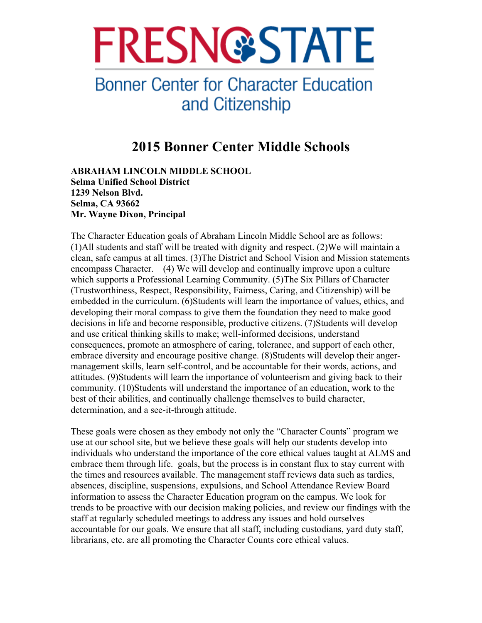

# **Bonner Center for Character Education** and Citizenship

# **2015 Bonner Center Middle Schools**

**ABRAHAM LINCOLN MIDDLE SCHOOL Selma Unified School District 1239 Nelson Blvd. Selma, CA 93662 Mr. Wayne Dixon, Principal** 

The Character Education goals of Abraham Lincoln Middle School are as follows: (1)All students and staff will be treated with dignity and respect. (2)We will maintain a clean, safe campus at all times. (3)The District and School Vision and Mission statements encompass Character. (4) We will develop and continually improve upon a culture which supports a Professional Learning Community. (5) The Six Pillars of Character (Trustworthiness, Respect, Responsibility, Fairness, Caring, and Citizenship) will be embedded in the curriculum. (6)Students will learn the importance of values, ethics, and developing their moral compass to give them the foundation they need to make good decisions in life and become responsible, productive citizens. (7)Students will develop and use critical thinking skills to make; well-informed decisions, understand consequences, promote an atmosphere of caring, tolerance, and support of each other, embrace diversity and encourage positive change. (8)Students will develop their angermanagement skills, learn self-control, and be accountable for their words, actions, and attitudes. (9)Students will learn the importance of volunteerism and giving back to their community. (10)Students will understand the importance of an education, work to the best of their abilities, and continually challenge themselves to build character, determination, and a see-it-through attitude.

These goals were chosen as they embody not only the "Character Counts" program we use at our school site, but we believe these goals will help our students develop into individuals who understand the importance of the core ethical values taught at ALMS and embrace them through life. goals, but the process is in constant flux to stay current with the times and resources available. The management staff reviews data such as tardies, absences, discipline, suspensions, expulsions, and School Attendance Review Board information to assess the Character Education program on the campus. We look for trends to be proactive with our decision making policies, and review our findings with the staff at regularly scheduled meetings to address any issues and hold ourselves accountable for our goals. We ensure that all staff, including custodians, yard duty staff, librarians, etc. are all promoting the Character Counts core ethical values.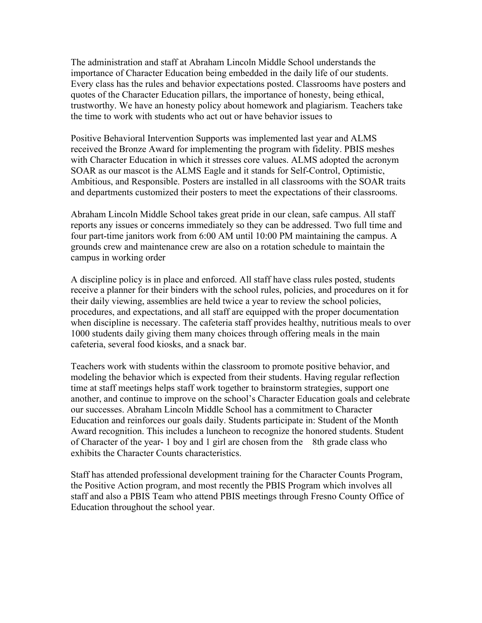The administration and staff at Abraham Lincoln Middle School understands the importance of Character Education being embedded in the daily life of our students. Every class has the rules and behavior expectations posted. Classrooms have posters and quotes of the Character Education pillars, the importance of honesty, being ethical, trustworthy. We have an honesty policy about homework and plagiarism. Teachers take the time to work with students who act out or have behavior issues to

Positive Behavioral Intervention Supports was implemented last year and ALMS received the Bronze Award for implementing the program with fidelity. PBIS meshes with Character Education in which it stresses core values. ALMS adopted the acronym SOAR as our mascot is the ALMS Eagle and it stands for Self-Control, Optimistic, Ambitious, and Responsible. Posters are installed in all classrooms with the SOAR traits and departments customized their posters to meet the expectations of their classrooms.

Abraham Lincoln Middle School takes great pride in our clean, safe campus. All staff reports any issues or concerns immediately so they can be addressed. Two full time and four part-time janitors work from 6:00 AM until 10:00 PM maintaining the campus. A grounds crew and maintenance crew are also on a rotation schedule to maintain the campus in working order

A discipline policy is in place and enforced. All staff have class rules posted, students receive a planner for their binders with the school rules, policies, and procedures on it for their daily viewing, assemblies are held twice a year to review the school policies, procedures, and expectations, and all staff are equipped with the proper documentation when discipline is necessary. The cafeteria staff provides healthy, nutritious meals to over 1000 students daily giving them many choices through offering meals in the main cafeteria, several food kiosks, and a snack bar.

Teachers work with students within the classroom to promote positive behavior, and modeling the behavior which is expected from their students. Having regular reflection time at staff meetings helps staff work together to brainstorm strategies, support one another, and continue to improve on the school's Character Education goals and celebrate our successes. Abraham Lincoln Middle School has a commitment to Character Education and reinforces our goals daily. Students participate in: Student of the Month Award recognition. This includes a luncheon to recognize the honored students. Student of Character of the year- 1 boy and 1 girl are chosen from the 8th grade class who exhibits the Character Counts characteristics.

Staff has attended professional development training for the Character Counts Program, the Positive Action program, and most recently the PBIS Program which involves all staff and also a PBIS Team who attend PBIS meetings through Fresno County Office of Education throughout the school year.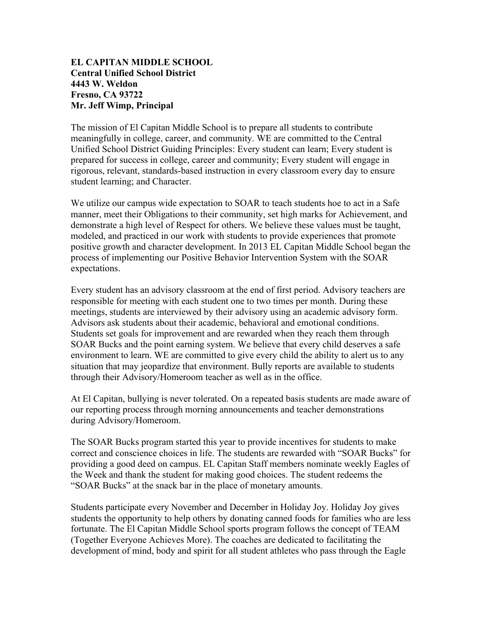## **EL CAPITAN MIDDLE SCHOOL Central Unified School District 4443 W. Weldon Fresno, CA 93722 Mr. Jeff Wimp, Principal**

The mission of El Capitan Middle School is to prepare all students to contribute meaningfully in college, career, and community. WE are committed to the Central Unified School District Guiding Principles: Every student can learn; Every student is prepared for success in college, career and community; Every student will engage in rigorous, relevant, standards-based instruction in every classroom every day to ensure student learning; and Character.

We utilize our campus wide expectation to SOAR to teach students hoe to act in a Safe manner, meet their Obligations to their community, set high marks for Achievement, and demonstrate a high level of Respect for others. We believe these values must be taught, modeled, and practiced in our work with students to provide experiences that promote positive growth and character development. In 2013 EL Capitan Middle School began the process of implementing our Positive Behavior Intervention System with the SOAR expectations.

Every student has an advisory classroom at the end of first period. Advisory teachers are responsible for meeting with each student one to two times per month. During these meetings, students are interviewed by their advisory using an academic advisory form. Advisors ask students about their academic, behavioral and emotional conditions. Students set goals for improvement and are rewarded when they reach them through SOAR Bucks and the point earning system. We believe that every child deserves a safe environment to learn. WE are committed to give every child the ability to alert us to any situation that may jeopardize that environment. Bully reports are available to students through their Advisory/Homeroom teacher as well as in the office.

At El Capitan, bullying is never tolerated. On a repeated basis students are made aware of our reporting process through morning announcements and teacher demonstrations during Advisory/Homeroom.

The SOAR Bucks program started this year to provide incentives for students to make correct and conscience choices in life. The students are rewarded with "SOAR Bucks" for providing a good deed on campus. EL Capitan Staff members nominate weekly Eagles of the Week and thank the student for making good choices. The student redeems the "SOAR Bucks" at the snack bar in the place of monetary amounts.

Students participate every November and December in Holiday Joy. Holiday Joy gives students the opportunity to help others by donating canned foods for families who are less fortunate. The El Capitan Middle School sports program follows the concept of TEAM (Together Everyone Achieves More). The coaches are dedicated to facilitating the development of mind, body and spirit for all student athletes who pass through the Eagle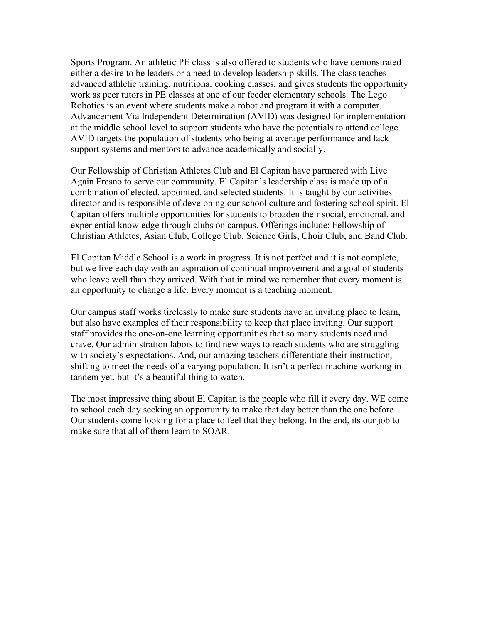Sports Program. An athletic PE class is also offered to students who have demonstrated either a desire to be leaders or a need to develop leadership skills. The class teaches advanced athletic training, nutritional cooking classes, and gives students the opportunity work as peer tutors in PE classes at one of our feeder elementary schools. The Lego Robotics is an event where students make a robot and program it with a computer. Advancement Via Independent Determination (AVID) was designed for implementation at the middle school level to support students who have the potentials to attend college. AVID targets the population of students who being at average performance and lack support systems and mentors to advance academically and socially.

Our Fellowship of Christian Athletes Club and El Capitan have partnered with Live Again Fresno to serve our community. El Capitan's leadership class is made up of a combination of elected, appointed, and selected students. It is taught by our activities director and is responsible of developing our school culture and fostering school spirit. El Capitan offers multiple opportunities for students to broaden their social, emotional, and experiential knowledge through clubs on campus. Offerings include: Fellowship of Christian Athletes, Asian Club, College Club, Science Girls, Choir Club, and Band Club.

El Capitan Middle School is a work in progress. It is not perfect and it is not complete, but we live each day with an aspiration of continual improvement and a goal of students who leave well than they arrived. With that in mind we remember that every moment is an opportunity to change a life. Every moment is a teaching moment.

Our campus staff works tirelessly to make sure students have an inviting place to learn, but also have examples of their responsibility to keep that place inviting. Our support staff provides the one-on-one learning opportunities that so many students need and crave. Our administration labors to find new ways to reach students who are struggling with society's expectations. And, our amazing teachers differentiate their instruction, shifting to meet the needs of a varying population. It isn't a perfect machine working in tandem yet, but it's a beautiful thing to watch.

The most impressive thing about El Capitan is the people who fill it every day. WE come to school each day seeking an opportunity to make that day better than the one before. Our students come looking for a place to feel that they belong. In the end, its our job to make sure that all of them learn to SOAR.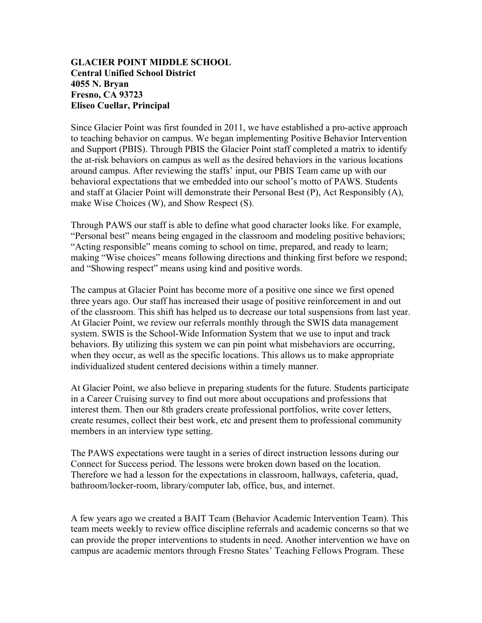#### **GLACIER POINT MIDDLE SCHOOL Central Unified School District 4055 N. Bryan Fresno, CA 93723 Eliseo Cuellar, Principal**

Since Glacier Point was first founded in 2011, we have established a pro-active approach to teaching behavior on campus. We began implementing Positive Behavior Intervention and Support (PBIS). Through PBIS the Glacier Point staff completed a matrix to identify the at-risk behaviors on campus as well as the desired behaviors in the various locations around campus. After reviewing the staffs' input, our PBIS Team came up with our behavioral expectations that we embedded into our school's motto of PAWS. Students and staff at Glacier Point will demonstrate their Personal Best (P), Act Responsibly (A), make Wise Choices (W), and Show Respect (S).

Through PAWS our staff is able to define what good character looks like. For example, "Personal best" means being engaged in the classroom and modeling positive behaviors; "Acting responsible" means coming to school on time, prepared, and ready to learn; making "Wise choices" means following directions and thinking first before we respond; and "Showing respect" means using kind and positive words.

The campus at Glacier Point has become more of a positive one since we first opened three years ago. Our staff has increased their usage of positive reinforcement in and out of the classroom. This shift has helped us to decrease our total suspensions from last year. At Glacier Point, we review our referrals monthly through the SWIS data management system. SWIS is the School-Wide Information System that we use to input and track behaviors. By utilizing this system we can pin point what misbehaviors are occurring, when they occur, as well as the specific locations. This allows us to make appropriate individualized student centered decisions within a timely manner.

At Glacier Point, we also believe in preparing students for the future. Students participate in a Career Cruising survey to find out more about occupations and professions that interest them. Then our 8th graders create professional portfolios, write cover letters, create resumes, collect their best work, etc and present them to professional community members in an interview type setting.

The PAWS expectations were taught in a series of direct instruction lessons during our Connect for Success period. The lessons were broken down based on the location. Therefore we had a lesson for the expectations in classroom, hallways, cafeteria, quad, bathroom/locker-room, library/computer lab, office, bus, and internet.

A few years ago we created a BAIT Team (Behavior Academic Intervention Team). This team meets weekly to review office discipline referrals and academic concerns so that we can provide the proper interventions to students in need. Another intervention we have on campus are academic mentors through Fresno States' Teaching Fellows Program. These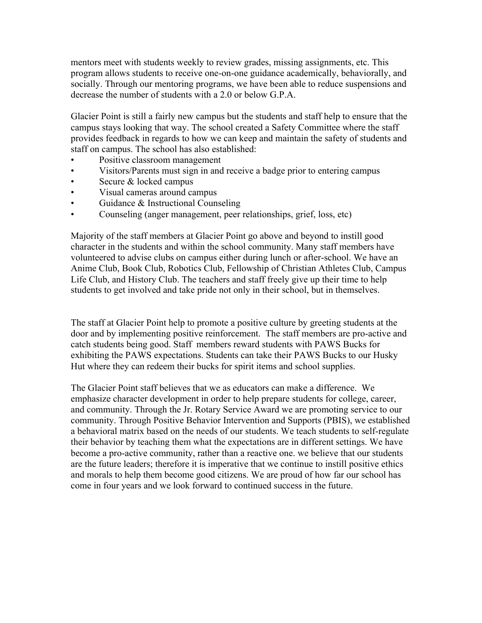mentors meet with students weekly to review grades, missing assignments, etc. This program allows students to receive one-on-one guidance academically, behaviorally, and socially. Through our mentoring programs, we have been able to reduce suspensions and decrease the number of students with a 2.0 or below G.P.A.

Glacier Point is still a fairly new campus but the students and staff help to ensure that the campus stays looking that way. The school created a Safety Committee where the staff provides feedback in regards to how we can keep and maintain the safety of students and staff on campus. The school has also established:

- Positive classroom management
- Visitors/Parents must sign in and receive a badge prior to entering campus
- Secure & locked campus
- Visual cameras around campus
- Guidance & Instructional Counseling
- Counseling (anger management, peer relationships, grief, loss, etc)

Majority of the staff members at Glacier Point go above and beyond to instill good character in the students and within the school community. Many staff members have volunteered to advise clubs on campus either during lunch or after-school. We have an Anime Club, Book Club, Robotics Club, Fellowship of Christian Athletes Club, Campus Life Club, and History Club. The teachers and staff freely give up their time to help students to get involved and take pride not only in their school, but in themselves.

The staff at Glacier Point help to promote a positive culture by greeting students at the door and by implementing positive reinforcement. The staff members are pro-active and catch students being good. Staff members reward students with PAWS Bucks for exhibiting the PAWS expectations. Students can take their PAWS Bucks to our Husky Hut where they can redeem their bucks for spirit items and school supplies.

The Glacier Point staff believes that we as educators can make a difference. We emphasize character development in order to help prepare students for college, career, and community. Through the Jr. Rotary Service Award we are promoting service to our community. Through Positive Behavior Intervention and Supports (PBIS), we established a behavioral matrix based on the needs of our students. We teach students to self-regulate their behavior by teaching them what the expectations are in different settings. We have become a pro-active community, rather than a reactive one. we believe that our students are the future leaders; therefore it is imperative that we continue to instill positive ethics and morals to help them become good citizens. We are proud of how far our school has come in four years and we look forward to continued success in the future.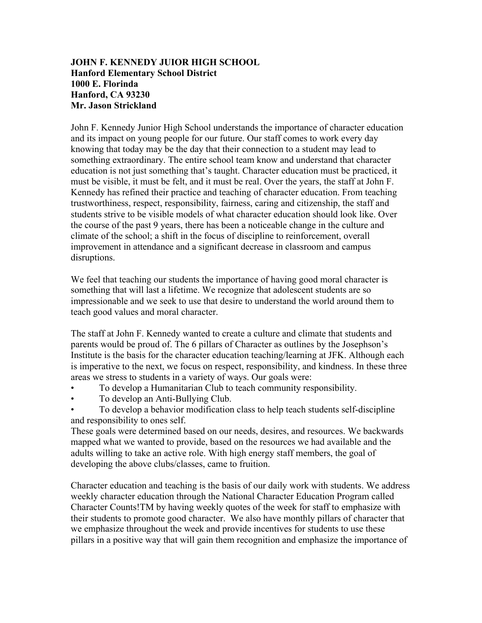# **JOHN F. KENNEDY JUIOR HIGH SCHOOL Hanford Elementary School District 1000 E. Florinda Hanford, CA 93230 Mr. Jason Strickland**

John F. Kennedy Junior High School understands the importance of character education and its impact on young people for our future. Our staff comes to work every day knowing that today may be the day that their connection to a student may lead to something extraordinary. The entire school team know and understand that character education is not just something that's taught. Character education must be practiced, it must be visible, it must be felt, and it must be real. Over the years, the staff at John F. Kennedy has refined their practice and teaching of character education. From teaching trustworthiness, respect, responsibility, fairness, caring and citizenship, the staff and students strive to be visible models of what character education should look like. Over the course of the past 9 years, there has been a noticeable change in the culture and climate of the school; a shift in the focus of discipline to reinforcement, overall improvement in attendance and a significant decrease in classroom and campus disruptions.

We feel that teaching our students the importance of having good moral character is something that will last a lifetime. We recognize that adolescent students are so impressionable and we seek to use that desire to understand the world around them to teach good values and moral character.

The staff at John F. Kennedy wanted to create a culture and climate that students and parents would be proud of. The 6 pillars of Character as outlines by the Josephson's Institute is the basis for the character education teaching/learning at JFK. Although each is imperative to the next, we focus on respect, responsibility, and kindness. In these three areas we stress to students in a variety of ways. Our goals were:

- To develop a Humanitarian Club to teach community responsibility.
- To develop an Anti-Bullying Club.
- To develop a behavior modification class to help teach students self-discipline and responsibility to ones self.

These goals were determined based on our needs, desires, and resources. We backwards mapped what we wanted to provide, based on the resources we had available and the adults willing to take an active role. With high energy staff members, the goal of developing the above clubs/classes, came to fruition.

Character education and teaching is the basis of our daily work with students. We address weekly character education through the National Character Education Program called Character Counts!TM by having weekly quotes of the week for staff to emphasize with their students to promote good character. We also have monthly pillars of character that we emphasize throughout the week and provide incentives for students to use these pillars in a positive way that will gain them recognition and emphasize the importance of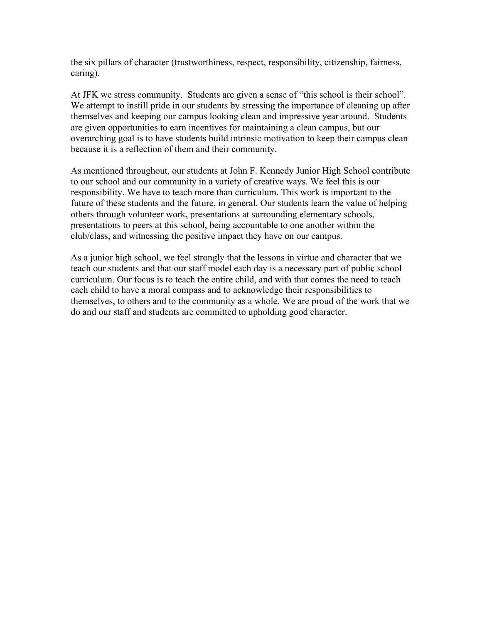the six pillars of character (trustworthiness, respect, responsibility, citizenship, fairness, caring).

At JFK we stress community. Students are given a sense of "this school is their school". We attempt to instill pride in our students by stressing the importance of cleaning up after themselves and keeping our campus looking clean and impressive year around. Students are given opportunities to earn incentives for maintaining a clean campus, but our overarching goal is to have students build intrinsic motivation to keep their campus clean because it is a reflection of them and their community.

As mentioned throughout, our students at John F. Kennedy Junior High School contribute to our school and our community in a variety of creative ways. We feel this is our responsibility. We have to teach more than curriculum. This work is important to the future of these students and the future, in general. Our students learn the value of helping others through volunteer work, presentations at surrounding elementary schools, presentations to peers at this school, being accountable to one another within the club/class, and witnessing the positive impact they have on our campus.

As a junior high school, we feel strongly that the lessons in virtue and character that we teach our students and that our staff model each day is a necessary part of public school curriculum. Our focus is to teach the entire child, and with that comes the need to teach each child to have a moral compass and to acknowledge their responsibilities to themselves, to others and to the community as a whole. We are proud of the work that we do and our staff and students are committed to upholding good character.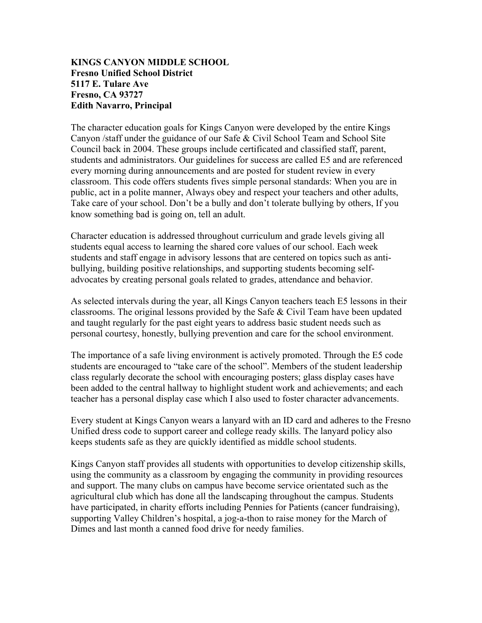## **KINGS CANYON MIDDLE SCHOOL Fresno Unified School District 5117 E. Tulare Ave Fresno, CA 93727 Edith Navarro, Principal**

The character education goals for Kings Canyon were developed by the entire Kings Canyon /staff under the guidance of our Safe & Civil School Team and School Site Council back in 2004. These groups include certificated and classified staff, parent, students and administrators. Our guidelines for success are called E5 and are referenced every morning during announcements and are posted for student review in every classroom. This code offers students fives simple personal standards: When you are in public, act in a polite manner, Always obey and respect your teachers and other adults, Take care of your school. Don't be a bully and don't tolerate bullying by others, If you know something bad is going on, tell an adult.

Character education is addressed throughout curriculum and grade levels giving all students equal access to learning the shared core values of our school. Each week students and staff engage in advisory lessons that are centered on topics such as antibullying, building positive relationships, and supporting students becoming selfadvocates by creating personal goals related to grades, attendance and behavior.

As selected intervals during the year, all Kings Canyon teachers teach E5 lessons in their classrooms. The original lessons provided by the Safe & Civil Team have been updated and taught regularly for the past eight years to address basic student needs such as personal courtesy, honestly, bullying prevention and care for the school environment.

The importance of a safe living environment is actively promoted. Through the E5 code students are encouraged to "take care of the school". Members of the student leadership class regularly decorate the school with encouraging posters; glass display cases have been added to the central hallway to highlight student work and achievements; and each teacher has a personal display case which I also used to foster character advancements.

Every student at Kings Canyon wears a lanyard with an ID card and adheres to the Fresno Unified dress code to support career and college ready skills. The lanyard policy also keeps students safe as they are quickly identified as middle school students.

Kings Canyon staff provides all students with opportunities to develop citizenship skills, using the community as a classroom by engaging the community in providing resources and support. The many clubs on campus have become service orientated such as the agricultural club which has done all the landscaping throughout the campus. Students have participated, in charity efforts including Pennies for Patients (cancer fundraising), supporting Valley Children's hospital, a jog-a-thon to raise money for the March of Dimes and last month a canned food drive for needy families.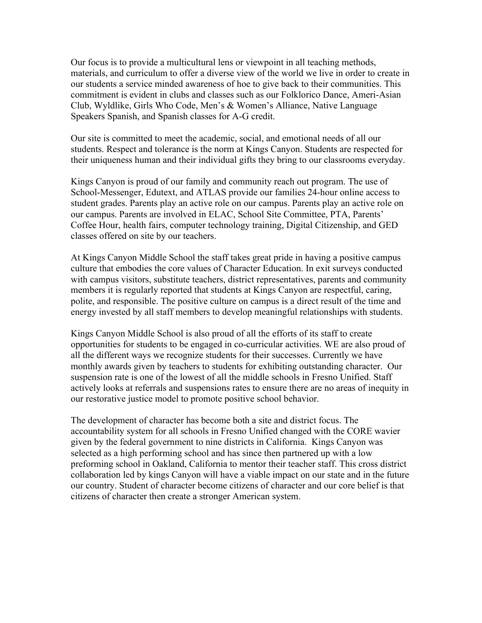Our focus is to provide a multicultural lens or viewpoint in all teaching methods, materials, and curriculum to offer a diverse view of the world we live in order to create in our students a service minded awareness of hoe to give back to their communities. This commitment is evident in clubs and classes such as our Folklorico Dance, Ameri-Asian Club, Wyldlike, Girls Who Code, Men's & Women's Alliance, Native Language Speakers Spanish, and Spanish classes for A-G credit.

Our site is committed to meet the academic, social, and emotional needs of all our students. Respect and tolerance is the norm at Kings Canyon. Students are respected for their uniqueness human and their individual gifts they bring to our classrooms everyday.

Kings Canyon is proud of our family and community reach out program. The use of School-Messenger, Edutext, and ATLAS provide our families 24-hour online access to student grades. Parents play an active role on our campus. Parents play an active role on our campus. Parents are involved in ELAC, School Site Committee, PTA, Parents' Coffee Hour, health fairs, computer technology training, Digital Citizenship, and GED classes offered on site by our teachers.

At Kings Canyon Middle School the staff takes great pride in having a positive campus culture that embodies the core values of Character Education. In exit surveys conducted with campus visitors, substitute teachers, district representatives, parents and community members it is regularly reported that students at Kings Canyon are respectful, caring, polite, and responsible. The positive culture on campus is a direct result of the time and energy invested by all staff members to develop meaningful relationships with students.

Kings Canyon Middle School is also proud of all the efforts of its staff to create opportunities for students to be engaged in co-curricular activities. WE are also proud of all the different ways we recognize students for their successes. Currently we have monthly awards given by teachers to students for exhibiting outstanding character. Our suspension rate is one of the lowest of all the middle schools in Fresno Unified. Staff actively looks at referrals and suspensions rates to ensure there are no areas of inequity in our restorative justice model to promote positive school behavior.

The development of character has become both a site and district focus. The accountability system for all schools in Fresno Unified changed with the CORE wavier given by the federal government to nine districts in California. Kings Canyon was selected as a high performing school and has since then partnered up with a low preforming school in Oakland, California to mentor their teacher staff. This cross district collaboration led by kings Canyon will have a viable impact on our state and in the future our country. Student of character become citizens of character and our core belief is that citizens of character then create a stronger American system.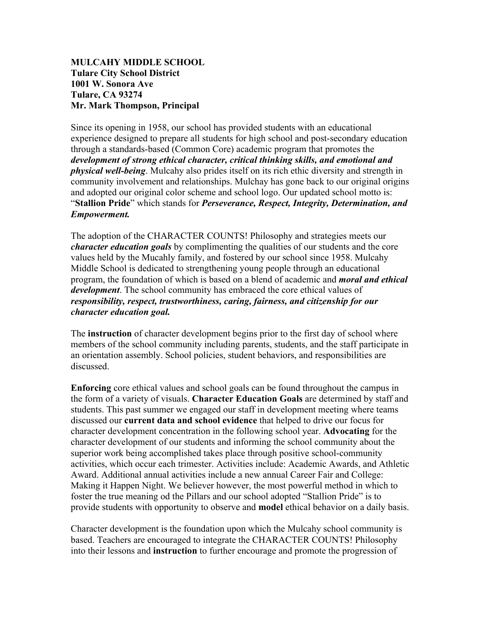### **MULCAHY MIDDLE SCHOOL Tulare City School District 1001 W. Sonora Ave Tulare, CA 93274 Mr. Mark Thompson, Principal**

Since its opening in 1958, our school has provided students with an educational experience designed to prepare all students for high school and post-secondary education through a standards-based (Common Core) academic program that promotes the *development of strong ethical character, critical thinking skills, and emotional and physical well-being*. Mulcahy also prides itself on its rich ethic diversity and strength in community involvement and relationships. Mulchay has gone back to our original origins and adopted our original color scheme and school logo. Our updated school motto is: "**Stallion Pride**" which stands for *Perseverance, Respect, Integrity, Determination, and Empowerment.* 

The adoption of the CHARACTER COUNTS! Philosophy and strategies meets our *character education goals* by complimenting the qualities of our students and the core values held by the Mucahly family, and fostered by our school since 1958. Mulcahy Middle School is dedicated to strengthening young people through an educational program, the foundation of which is based on a blend of academic and *moral and ethical development*. The school community has embraced the core ethical values of *responsibility, respect, trustworthiness, caring, fairness, and citizenship for our character education goal.* 

The **instruction** of character development begins prior to the first day of school where members of the school community including parents, students, and the staff participate in an orientation assembly. School policies, student behaviors, and responsibilities are discussed.

**Enforcing** core ethical values and school goals can be found throughout the campus in the form of a variety of visuals. **Character Education Goals** are determined by staff and students. This past summer we engaged our staff in development meeting where teams discussed our **current data and school evidence** that helped to drive our focus for character development concentration in the following school year. **Advocating** for the character development of our students and informing the school community about the superior work being accomplished takes place through positive school-community activities, which occur each trimester. Activities include: Academic Awards, and Athletic Award. Additional annual activities include a new annual Career Fair and College: Making it Happen Night. We believer however, the most powerful method in which to foster the true meaning od the Pillars and our school adopted "Stallion Pride" is to provide students with opportunity to observe and **model** ethical behavior on a daily basis.

Character development is the foundation upon which the Mulcahy school community is based. Teachers are encouraged to integrate the CHARACTER COUNTS! Philosophy into their lessons and **instruction** to further encourage and promote the progression of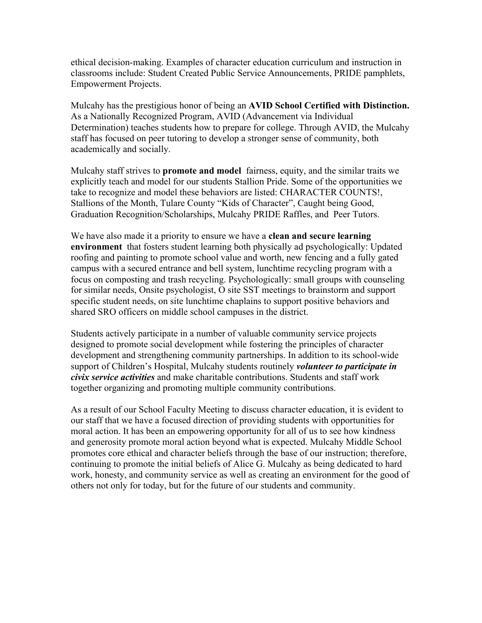ethical decision-making. Examples of character education curriculum and instruction in classrooms include: Student Created Public Service Announcements, PRIDE pamphlets, Empowerment Projects.

Mulcahy has the prestigious honor of being an **AVID School Certified with Distinction.**  As a Nationally Recognized Program, AVID (Advancement via Individual Determination) teaches students how to prepare for college. Through AVID, the Mulcahy staff has focused on peer tutoring to develop a stronger sense of community, both academically and socially.

Mulcahy staff strives to **promote and model** fairness, equity, and the similar traits we explicitly teach and model for our students Stallion Pride. Some of the opportunities we take to recognize and model these behaviors are listed: CHARACTER COUNTS!, Stallions of the Month, Tulare County "Kids of Character", Caught being Good, Graduation Recognition/Scholarships, Mulcahy PRIDE Raffles, and Peer Tutors.

We have also made it a priority to ensure we have a **clean and secure learning environment** that fosters student learning both physically ad psychologically: Updated roofing and painting to promote school value and worth, new fencing and a fully gated campus with a secured entrance and bell system, lunchtime recycling program with a focus on composting and trash recycling. Psychologically: small groups with counseling for similar needs, Onsite psychologist, O site SST meetings to brainstorm and support specific student needs, on site lunchtime chaplains to support positive behaviors and shared SRO officers on middle school campuses in the district.

Students actively participate in a number of valuable community service projects designed to promote social development while fostering the principles of character development and strengthening community partnerships. In addition to its school-wide support of Children's Hospital, Mulcahy students routinely *volunteer to participate in civix service activities* and make charitable contributions. Students and staff work together organizing and promoting multiple community contributions.

As a result of our School Faculty Meeting to discuss character education, it is evident to our staff that we have a focused direction of providing students with opportunities for moral action. It has been an empowering opportunity for all of us to see how kindness and generosity promote moral action beyond what is expected. Mulcahy Middle School promotes core ethical and character beliefs through the base of our instruction; therefore, continuing to promote the initial beliefs of Alice G. Mulcahy as being dedicated to hard work, honesty, and community service as well as creating an environment for the good of others not only for today, but for the future of our students and community.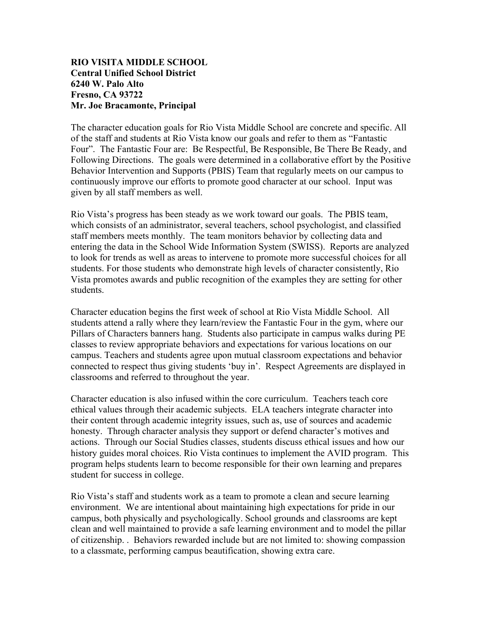## **RIO VISITA MIDDLE SCHOOL Central Unified School District 6240 W. Palo Alto Fresno, CA 93722 Mr. Joe Bracamonte, Principal**

The character education goals for Rio Vista Middle School are concrete and specific. All of the staff and students at Rio Vista know our goals and refer to them as "Fantastic Four". The Fantastic Four are: Be Respectful, Be Responsible, Be There Be Ready, and Following Directions. The goals were determined in a collaborative effort by the Positive Behavior Intervention and Supports (PBIS) Team that regularly meets on our campus to continuously improve our efforts to promote good character at our school. Input was given by all staff members as well.

Rio Vista's progress has been steady as we work toward our goals. The PBIS team, which consists of an administrator, several teachers, school psychologist, and classified staff members meets monthly. The team monitors behavior by collecting data and entering the data in the School Wide Information System (SWISS). Reports are analyzed to look for trends as well as areas to intervene to promote more successful choices for all students. For those students who demonstrate high levels of character consistently, Rio Vista promotes awards and public recognition of the examples they are setting for other students.

Character education begins the first week of school at Rio Vista Middle School. All students attend a rally where they learn/review the Fantastic Four in the gym, where our Pillars of Characters banners hang. Students also participate in campus walks during PE classes to review appropriate behaviors and expectations for various locations on our campus. Teachers and students agree upon mutual classroom expectations and behavior connected to respect thus giving students 'buy in'. Respect Agreements are displayed in classrooms and referred to throughout the year.

Character education is also infused within the core curriculum. Teachers teach core ethical values through their academic subjects. ELA teachers integrate character into their content through academic integrity issues, such as, use of sources and academic honesty. Through character analysis they support or defend character's motives and actions. Through our Social Studies classes, students discuss ethical issues and how our history guides moral choices. Rio Vista continues to implement the AVID program. This program helps students learn to become responsible for their own learning and prepares student for success in college.

Rio Vista's staff and students work as a team to promote a clean and secure learning environment. We are intentional about maintaining high expectations for pride in our campus, both physically and psychologically. School grounds and classrooms are kept clean and well maintained to provide a safe learning environment and to model the pillar of citizenship. . Behaviors rewarded include but are not limited to: showing compassion to a classmate, performing campus beautification, showing extra care.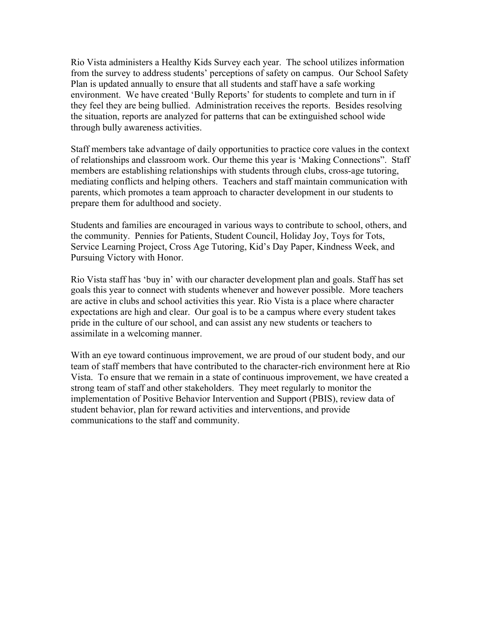Rio Vista administers a Healthy Kids Survey each year. The school utilizes information from the survey to address students' perceptions of safety on campus. Our School Safety Plan is updated annually to ensure that all students and staff have a safe working environment. We have created 'Bully Reports' for students to complete and turn in if they feel they are being bullied. Administration receives the reports. Besides resolving the situation, reports are analyzed for patterns that can be extinguished school wide through bully awareness activities.

Staff members take advantage of daily opportunities to practice core values in the context of relationships and classroom work. Our theme this year is 'Making Connections". Staff members are establishing relationships with students through clubs, cross-age tutoring, mediating conflicts and helping others. Teachers and staff maintain communication with parents, which promotes a team approach to character development in our students to prepare them for adulthood and society.

Students and families are encouraged in various ways to contribute to school, others, and the community. Pennies for Patients, Student Council, Holiday Joy, Toys for Tots, Service Learning Project, Cross Age Tutoring, Kid's Day Paper, Kindness Week, and Pursuing Victory with Honor.

Rio Vista staff has 'buy in' with our character development plan and goals. Staff has set goals this year to connect with students whenever and however possible. More teachers are active in clubs and school activities this year. Rio Vista is a place where character expectations are high and clear. Our goal is to be a campus where every student takes pride in the culture of our school, and can assist any new students or teachers to assimilate in a welcoming manner.

With an eye toward continuous improvement, we are proud of our student body, and our team of staff members that have contributed to the character-rich environment here at Rio Vista. To ensure that we remain in a state of continuous improvement, we have created a strong team of staff and other stakeholders. They meet regularly to monitor the implementation of Positive Behavior Intervention and Support (PBIS), review data of student behavior, plan for reward activities and interventions, and provide communications to the staff and community.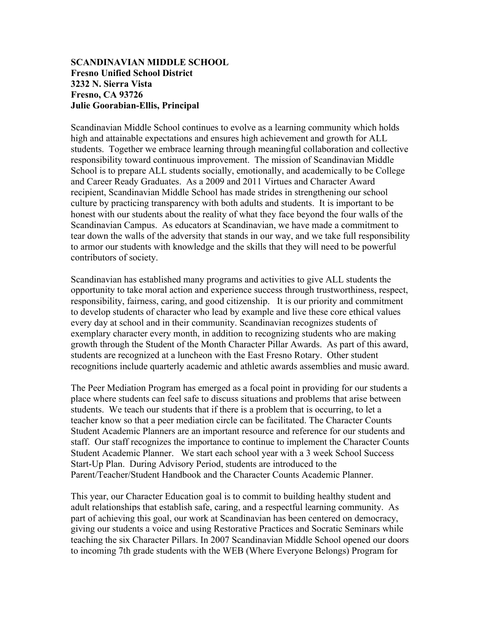### **SCANDINAVIAN MIDDLE SCHOOL Fresno Unified School District 3232 N. Sierra Vista Fresno, CA 93726 Julie Goorabian-Ellis, Principal**

Scandinavian Middle School continues to evolve as a learning community which holds high and attainable expectations and ensures high achievement and growth for ALL students. Together we embrace learning through meaningful collaboration and collective responsibility toward continuous improvement. The mission of Scandinavian Middle School is to prepare ALL students socially, emotionally, and academically to be College and Career Ready Graduates. As a 2009 and 2011 Virtues and Character Award recipient, Scandinavian Middle School has made strides in strengthening our school culture by practicing transparency with both adults and students. It is important to be honest with our students about the reality of what they face beyond the four walls of the Scandinavian Campus. As educators at Scandinavian, we have made a commitment to tear down the walls of the adversity that stands in our way, and we take full responsibility to armor our students with knowledge and the skills that they will need to be powerful contributors of society.

Scandinavian has established many programs and activities to give ALL students the opportunity to take moral action and experience success through trustworthiness, respect, responsibility, fairness, caring, and good citizenship. It is our priority and commitment to develop students of character who lead by example and live these core ethical values every day at school and in their community. Scandinavian recognizes students of exemplary character every month, in addition to recognizing students who are making growth through the Student of the Month Character Pillar Awards. As part of this award, students are recognized at a luncheon with the East Fresno Rotary. Other student recognitions include quarterly academic and athletic awards assemblies and music award.

The Peer Mediation Program has emerged as a focal point in providing for our students a place where students can feel safe to discuss situations and problems that arise between students. We teach our students that if there is a problem that is occurring, to let a teacher know so that a peer mediation circle can be facilitated. The Character Counts Student Academic Planners are an important resource and reference for our students and staff. Our staff recognizes the importance to continue to implement the Character Counts Student Academic Planner. We start each school year with a 3 week School Success Start-Up Plan. During Advisory Period, students are introduced to the Parent/Teacher/Student Handbook and the Character Counts Academic Planner.

This year, our Character Education goal is to commit to building healthy student and adult relationships that establish safe, caring, and a respectful learning community. As part of achieving this goal, our work at Scandinavian has been centered on democracy, giving our students a voice and using Restorative Practices and Socratic Seminars while teaching the six Character Pillars. In 2007 Scandinavian Middle School opened our doors to incoming 7th grade students with the WEB (Where Everyone Belongs) Program for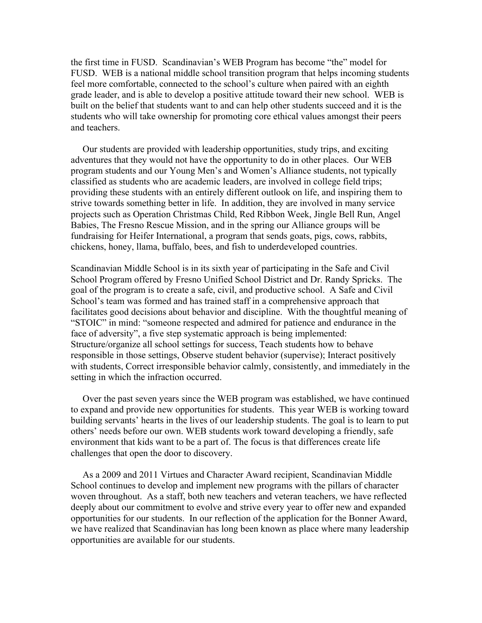the first time in FUSD. Scandinavian's WEB Program has become "the" model for FUSD. WEB is a national middle school transition program that helps incoming students feel more comfortable, connected to the school's culture when paired with an eighth grade leader, and is able to develop a positive attitude toward their new school. WEB is built on the belief that students want to and can help other students succeed and it is the students who will take ownership for promoting core ethical values amongst their peers and teachers.

 Our students are provided with leadership opportunities, study trips, and exciting adventures that they would not have the opportunity to do in other places. Our WEB program students and our Young Men's and Women's Alliance students, not typically classified as students who are academic leaders, are involved in college field trips; providing these students with an entirely different outlook on life, and inspiring them to strive towards something better in life. In addition, they are involved in many service projects such as Operation Christmas Child, Red Ribbon Week, Jingle Bell Run, Angel Babies, The Fresno Rescue Mission, and in the spring our Alliance groups will be fundraising for Heifer International, a program that sends goats, pigs, cows, rabbits, chickens, honey, llama, buffalo, bees, and fish to underdeveloped countries.

Scandinavian Middle School is in its sixth year of participating in the Safe and Civil School Program offered by Fresno Unified School District and Dr. Randy Spricks. The goal of the program is to create a safe, civil, and productive school. A Safe and Civil School's team was formed and has trained staff in a comprehensive approach that facilitates good decisions about behavior and discipline. With the thoughtful meaning of "STOIC" in mind: "someone respected and admired for patience and endurance in the face of adversity", a five step systematic approach is being implemented: Structure/organize all school settings for success, Teach students how to behave responsible in those settings, Observe student behavior (supervise); Interact positively with students, Correct irresponsible behavior calmly, consistently, and immediately in the setting in which the infraction occurred.

 Over the past seven years since the WEB program was established, we have continued to expand and provide new opportunities for students. This year WEB is working toward building servants' hearts in the lives of our leadership students. The goal is to learn to put others' needs before our own. WEB students work toward developing a friendly, safe environment that kids want to be a part of. The focus is that differences create life challenges that open the door to discovery.

 As a 2009 and 2011 Virtues and Character Award recipient, Scandinavian Middle School continues to develop and implement new programs with the pillars of character woven throughout. As a staff, both new teachers and veteran teachers, we have reflected deeply about our commitment to evolve and strive every year to offer new and expanded opportunities for our students. In our reflection of the application for the Bonner Award, we have realized that Scandinavian has long been known as place where many leadership opportunities are available for our students.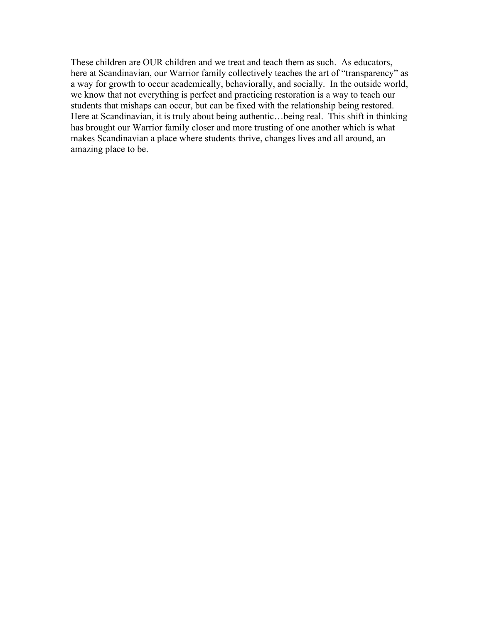These children are OUR children and we treat and teach them as such. As educators, here at Scandinavian, our Warrior family collectively teaches the art of "transparency" as a way for growth to occur academically, behaviorally, and socially. In the outside world, we know that not everything is perfect and practicing restoration is a way to teach our students that mishaps can occur, but can be fixed with the relationship being restored. Here at Scandinavian, it is truly about being authentic…being real. This shift in thinking has brought our Warrior family closer and more trusting of one another which is what makes Scandinavian a place where students thrive, changes lives and all around, an amazing place to be.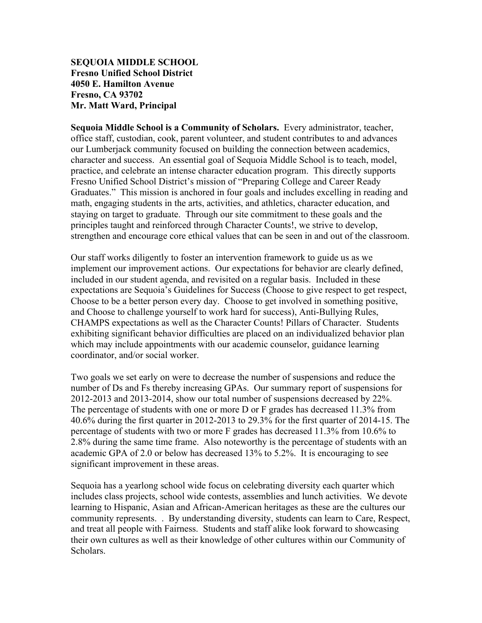## **SEQUOIA MIDDLE SCHOOL Fresno Unified School District 4050 E. Hamilton Avenue Fresno, CA 93702 Mr. Matt Ward, Principal**

**Sequoia Middle School is a Community of Scholars.** Every administrator, teacher, office staff, custodian, cook, parent volunteer, and student contributes to and advances our Lumberjack community focused on building the connection between academics, character and success. An essential goal of Sequoia Middle School is to teach, model, practice, and celebrate an intense character education program. This directly supports Fresno Unified School District's mission of "Preparing College and Career Ready Graduates." This mission is anchored in four goals and includes excelling in reading and math, engaging students in the arts, activities, and athletics, character education, and staying on target to graduate. Through our site commitment to these goals and the principles taught and reinforced through Character Counts!, we strive to develop, strengthen and encourage core ethical values that can be seen in and out of the classroom.

Our staff works diligently to foster an intervention framework to guide us as we implement our improvement actions. Our expectations for behavior are clearly defined, included in our student agenda, and revisited on a regular basis. Included in these expectations are Sequoia's Guidelines for Success (Choose to give respect to get respect, Choose to be a better person every day. Choose to get involved in something positive, and Choose to challenge yourself to work hard for success), Anti-Bullying Rules, CHAMPS expectations as well as the Character Counts! Pillars of Character. Students exhibiting significant behavior difficulties are placed on an individualized behavior plan which may include appointments with our academic counselor, guidance learning coordinator, and/or social worker.

Two goals we set early on were to decrease the number of suspensions and reduce the number of Ds and Fs thereby increasing GPAs. Our summary report of suspensions for 2012-2013 and 2013-2014, show our total number of suspensions decreased by 22%. The percentage of students with one or more D or F grades has decreased 11.3% from 40.6% during the first quarter in 2012-2013 to 29.3% for the first quarter of 2014-15. The percentage of students with two or more F grades has decreased 11.3% from 10.6% to 2.8% during the same time frame. Also noteworthy is the percentage of students with an academic GPA of 2.0 or below has decreased 13% to 5.2%. It is encouraging to see significant improvement in these areas.

Sequoia has a yearlong school wide focus on celebrating diversity each quarter which includes class projects, school wide contests, assemblies and lunch activities. We devote learning to Hispanic, Asian and African-American heritages as these are the cultures our community represents. . By understanding diversity, students can learn to Care, Respect, and treat all people with Fairness. Students and staff alike look forward to showcasing their own cultures as well as their knowledge of other cultures within our Community of Scholars.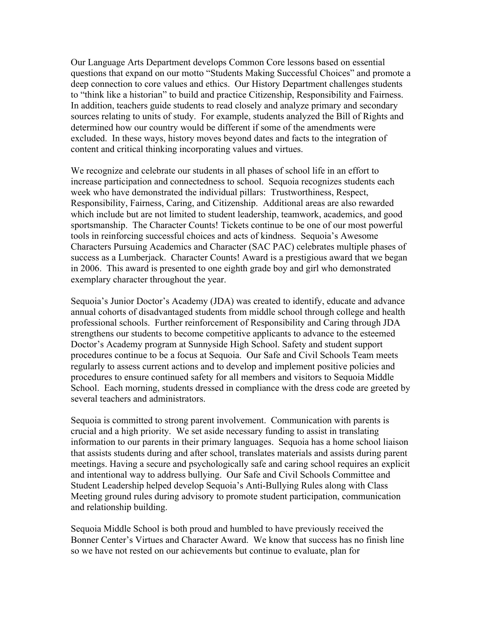Our Language Arts Department develops Common Core lessons based on essential questions that expand on our motto "Students Making Successful Choices" and promote a deep connection to core values and ethics. Our History Department challenges students to "think like a historian" to build and practice Citizenship, Responsibility and Fairness. In addition, teachers guide students to read closely and analyze primary and secondary sources relating to units of study. For example, students analyzed the Bill of Rights and determined how our country would be different if some of the amendments were excluded. In these ways, history moves beyond dates and facts to the integration of content and critical thinking incorporating values and virtues.

We recognize and celebrate our students in all phases of school life in an effort to increase participation and connectedness to school. Sequoia recognizes students each week who have demonstrated the individual pillars: Trustworthiness, Respect, Responsibility, Fairness, Caring, and Citizenship. Additional areas are also rewarded which include but are not limited to student leadership, teamwork, academics, and good sportsmanship. The Character Counts! Tickets continue to be one of our most powerful tools in reinforcing successful choices and acts of kindness. Sequoia's Awesome Characters Pursuing Academics and Character (SAC PAC) celebrates multiple phases of success as a Lumberjack. Character Counts! Award is a prestigious award that we began in 2006. This award is presented to one eighth grade boy and girl who demonstrated exemplary character throughout the year.

Sequoia's Junior Doctor's Academy (JDA) was created to identify, educate and advance annual cohorts of disadvantaged students from middle school through college and health professional schools. Further reinforcement of Responsibility and Caring through JDA strengthens our students to become competitive applicants to advance to the esteemed Doctor's Academy program at Sunnyside High School. Safety and student support procedures continue to be a focus at Sequoia. Our Safe and Civil Schools Team meets regularly to assess current actions and to develop and implement positive policies and procedures to ensure continued safety for all members and visitors to Sequoia Middle School. Each morning, students dressed in compliance with the dress code are greeted by several teachers and administrators.

Sequoia is committed to strong parent involvement. Communication with parents is crucial and a high priority. We set aside necessary funding to assist in translating information to our parents in their primary languages. Sequoia has a home school liaison that assists students during and after school, translates materials and assists during parent meetings. Having a secure and psychologically safe and caring school requires an explicit and intentional way to address bullying. Our Safe and Civil Schools Committee and Student Leadership helped develop Sequoia's Anti-Bullying Rules along with Class Meeting ground rules during advisory to promote student participation, communication and relationship building.

Sequoia Middle School is both proud and humbled to have previously received the Bonner Center's Virtues and Character Award. We know that success has no finish line so we have not rested on our achievements but continue to evaluate, plan for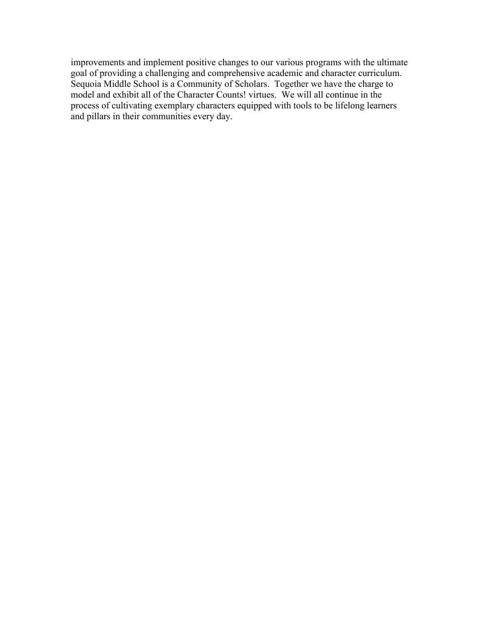improvements and implement positive changes to our various programs with the ultimate goal of providing a challenging and comprehensive academic and character curriculum. Sequoia Middle School is a Community of Scholars. Together we have the charge to model and exhibit all of the Character Counts! virtues. We will all continue in the process of cultivating exemplary characters equipped with tools to be lifelong learners and pillars in their communities every day.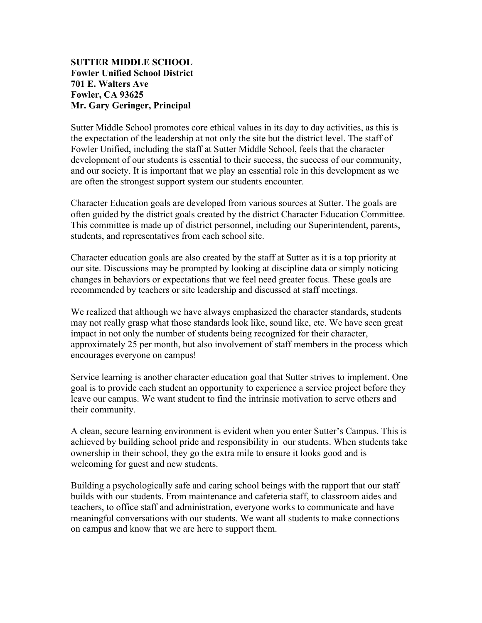# **SUTTER MIDDLE SCHOOL Fowler Unified School District 701 E. Walters Ave Fowler, CA 93625 Mr. Gary Geringer, Principal**

Sutter Middle School promotes core ethical values in its day to day activities, as this is the expectation of the leadership at not only the site but the district level. The staff of Fowler Unified, including the staff at Sutter Middle School, feels that the character development of our students is essential to their success, the success of our community, and our society. It is important that we play an essential role in this development as we are often the strongest support system our students encounter.

Character Education goals are developed from various sources at Sutter. The goals are often guided by the district goals created by the district Character Education Committee. This committee is made up of district personnel, including our Superintendent, parents, students, and representatives from each school site.

Character education goals are also created by the staff at Sutter as it is a top priority at our site. Discussions may be prompted by looking at discipline data or simply noticing changes in behaviors or expectations that we feel need greater focus. These goals are recommended by teachers or site leadership and discussed at staff meetings.

We realized that although we have always emphasized the character standards, students may not really grasp what those standards look like, sound like, etc. We have seen great impact in not only the number of students being recognized for their character, approximately 25 per month, but also involvement of staff members in the process which encourages everyone on campus!

Service learning is another character education goal that Sutter strives to implement. One goal is to provide each student an opportunity to experience a service project before they leave our campus. We want student to find the intrinsic motivation to serve others and their community.

A clean, secure learning environment is evident when you enter Sutter's Campus. This is achieved by building school pride and responsibility in our students. When students take ownership in their school, they go the extra mile to ensure it looks good and is welcoming for guest and new students.

Building a psychologically safe and caring school beings with the rapport that our staff builds with our students. From maintenance and cafeteria staff, to classroom aides and teachers, to office staff and administration, everyone works to communicate and have meaningful conversations with our students. We want all students to make connections on campus and know that we are here to support them.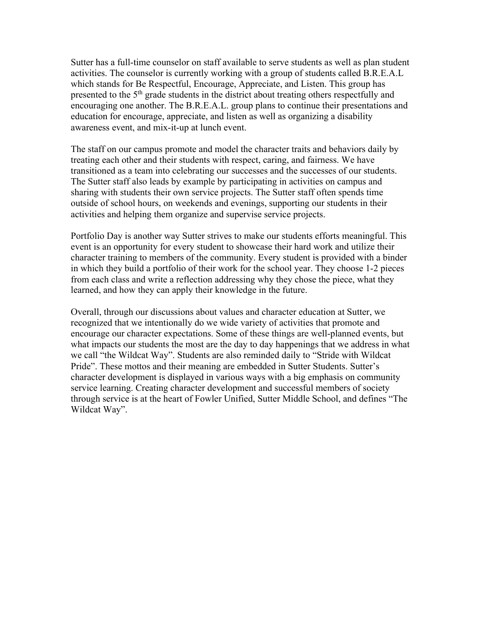Sutter has a full-time counselor on staff available to serve students as well as plan student activities. The counselor is currently working with a group of students called B.R.E.A.L which stands for Be Respectful, Encourage, Appreciate, and Listen. This group has presented to the 5<sup>th</sup> grade students in the district about treating others respectfully and encouraging one another. The B.R.E.A.L. group plans to continue their presentations and education for encourage, appreciate, and listen as well as organizing a disability awareness event, and mix-it-up at lunch event.

The staff on our campus promote and model the character traits and behaviors daily by treating each other and their students with respect, caring, and fairness. We have transitioned as a team into celebrating our successes and the successes of our students. The Sutter staff also leads by example by participating in activities on campus and sharing with students their own service projects. The Sutter staff often spends time outside of school hours, on weekends and evenings, supporting our students in their activities and helping them organize and supervise service projects.

Portfolio Day is another way Sutter strives to make our students efforts meaningful. This event is an opportunity for every student to showcase their hard work and utilize their character training to members of the community. Every student is provided with a binder in which they build a portfolio of their work for the school year. They choose 1-2 pieces from each class and write a reflection addressing why they chose the piece, what they learned, and how they can apply their knowledge in the future.

Overall, through our discussions about values and character education at Sutter, we recognized that we intentionally do we wide variety of activities that promote and encourage our character expectations. Some of these things are well-planned events, but what impacts our students the most are the day to day happenings that we address in what we call "the Wildcat Way". Students are also reminded daily to "Stride with Wildcat Pride". These mottos and their meaning are embedded in Sutter Students. Sutter's character development is displayed in various ways with a big emphasis on community service learning. Creating character development and successful members of society through service is at the heart of Fowler Unified, Sutter Middle School, and defines "The Wildcat Way".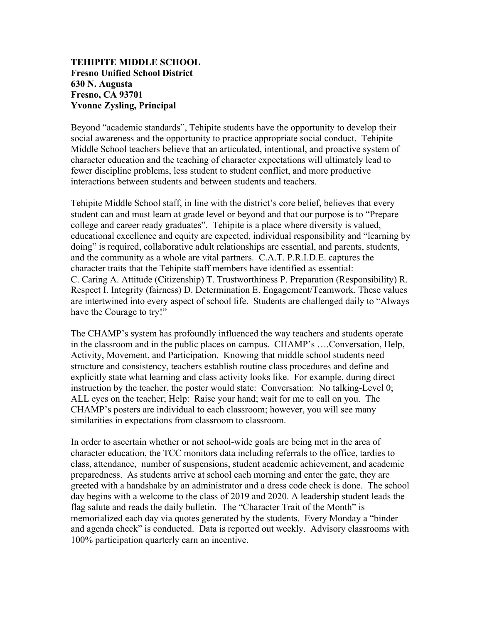## **TEHIPITE MIDDLE SCHOOL Fresno Unified School District 630 N. Augusta Fresno, CA 93701 Yvonne Zysling, Principal**

Beyond "academic standards", Tehipite students have the opportunity to develop their social awareness and the opportunity to practice appropriate social conduct. Tehipite Middle School teachers believe that an articulated, intentional, and proactive system of character education and the teaching of character expectations will ultimately lead to fewer discipline problems, less student to student conflict, and more productive interactions between students and between students and teachers.

Tehipite Middle School staff, in line with the district's core belief, believes that every student can and must learn at grade level or beyond and that our purpose is to "Prepare college and career ready graduates". Tehipite is a place where diversity is valued, educational excellence and equity are expected, individual responsibility and "learning by doing" is required, collaborative adult relationships are essential, and parents, students, and the community as a whole are vital partners. C.A.T. P.R.I.D.E. captures the character traits that the Tehipite staff members have identified as essential: C. Caring A. Attitude (Citizenship) T. Trustworthiness P. Preparation (Responsibility) R. Respect I. Integrity (fairness) D. Determination E. Engagement/Teamwork. These values are intertwined into every aspect of school life. Students are challenged daily to "Always have the Courage to try!"

The CHAMP's system has profoundly influenced the way teachers and students operate in the classroom and in the public places on campus. CHAMP's ….Conversation, Help, Activity, Movement, and Participation. Knowing that middle school students need structure and consistency, teachers establish routine class procedures and define and explicitly state what learning and class activity looks like. For example, during direct instruction by the teacher, the poster would state: Conversation: No talking-Level 0; ALL eyes on the teacher; Help: Raise your hand; wait for me to call on you. The CHAMP's posters are individual to each classroom; however, you will see many similarities in expectations from classroom to classroom.

In order to ascertain whether or not school-wide goals are being met in the area of character education, the TCC monitors data including referrals to the office, tardies to class, attendance, number of suspensions, student academic achievement, and academic preparedness. As students arrive at school each morning and enter the gate, they are greeted with a handshake by an administrator and a dress code check is done. The school day begins with a welcome to the class of 2019 and 2020. A leadership student leads the flag salute and reads the daily bulletin. The "Character Trait of the Month" is memorialized each day via quotes generated by the students. Every Monday a "binder and agenda check" is conducted. Data is reported out weekly. Advisory classrooms with 100% participation quarterly earn an incentive.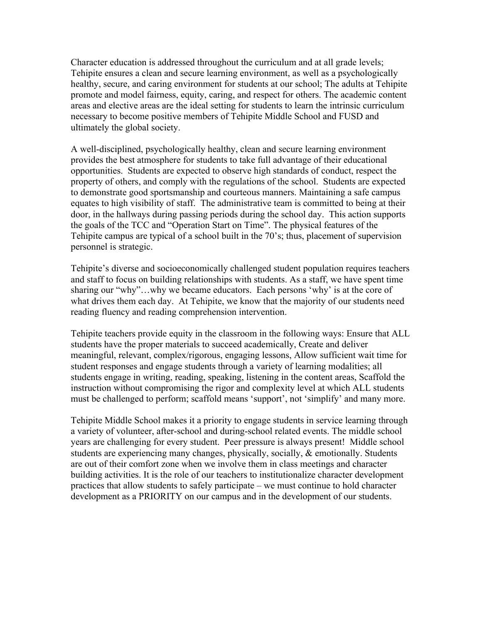Character education is addressed throughout the curriculum and at all grade levels; Tehipite ensures a clean and secure learning environment, as well as a psychologically healthy, secure, and caring environment for students at our school; The adults at Tehipite promote and model fairness, equity, caring, and respect for others. The academic content areas and elective areas are the ideal setting for students to learn the intrinsic curriculum necessary to become positive members of Tehipite Middle School and FUSD and ultimately the global society.

A well-disciplined, psychologically healthy, clean and secure learning environment provides the best atmosphere for students to take full advantage of their educational opportunities. Students are expected to observe high standards of conduct, respect the property of others, and comply with the regulations of the school. Students are expected to demonstrate good sportsmanship and courteous manners. Maintaining a safe campus equates to high visibility of staff. The administrative team is committed to being at their door, in the hallways during passing periods during the school day. This action supports the goals of the TCC and "Operation Start on Time". The physical features of the Tehipite campus are typical of a school built in the 70's; thus, placement of supervision personnel is strategic.

Tehipite's diverse and socioeconomically challenged student population requires teachers and staff to focus on building relationships with students. As a staff, we have spent time sharing our "why"…why we became educators. Each persons 'why' is at the core of what drives them each day. At Tehipite, we know that the majority of our students need reading fluency and reading comprehension intervention.

Tehipite teachers provide equity in the classroom in the following ways: Ensure that ALL students have the proper materials to succeed academically, Create and deliver meaningful, relevant, complex/rigorous, engaging lessons, Allow sufficient wait time for student responses and engage students through a variety of learning modalities; all students engage in writing, reading, speaking, listening in the content areas, Scaffold the instruction without compromising the rigor and complexity level at which ALL students must be challenged to perform; scaffold means 'support', not 'simplify' and many more.

Tehipite Middle School makes it a priority to engage students in service learning through a variety of volunteer, after-school and during-school related events. The middle school years are challenging for every student. Peer pressure is always present! Middle school students are experiencing many changes, physically, socially, & emotionally. Students are out of their comfort zone when we involve them in class meetings and character building activities. It is the role of our teachers to institutionalize character development practices that allow students to safely participate – we must continue to hold character development as a PRIORITY on our campus and in the development of our students.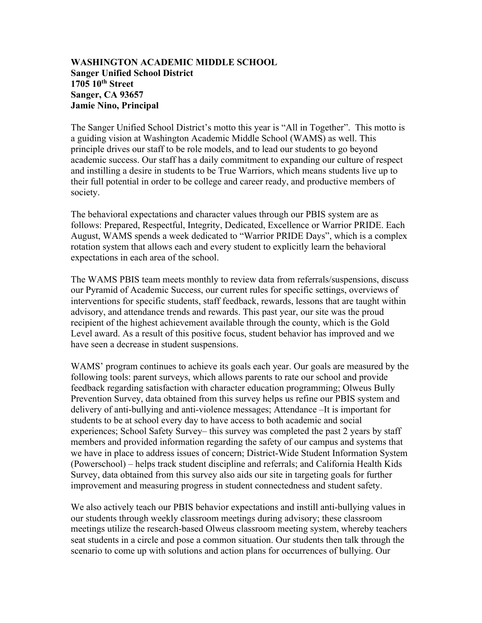## **WASHINGTON ACADEMIC MIDDLE SCHOOL Sanger Unified School District 1705 10th Street Sanger, CA 93657 Jamie Nino, Principal**

The Sanger Unified School District's motto this year is "All in Together". This motto is a guiding vision at Washington Academic Middle School (WAMS) as well. This principle drives our staff to be role models, and to lead our students to go beyond academic success. Our staff has a daily commitment to expanding our culture of respect and instilling a desire in students to be True Warriors, which means students live up to their full potential in order to be college and career ready, and productive members of society.

The behavioral expectations and character values through our PBIS system are as follows: Prepared, Respectful, Integrity, Dedicated, Excellence or Warrior PRIDE. Each August, WAMS spends a week dedicated to "Warrior PRIDE Days", which is a complex rotation system that allows each and every student to explicitly learn the behavioral expectations in each area of the school.

The WAMS PBIS team meets monthly to review data from referrals/suspensions, discuss our Pyramid of Academic Success, our current rules for specific settings, overviews of interventions for specific students, staff feedback, rewards, lessons that are taught within advisory, and attendance trends and rewards. This past year, our site was the proud recipient of the highest achievement available through the county, which is the Gold Level award. As a result of this positive focus, student behavior has improved and we have seen a decrease in student suspensions.

WAMS' program continues to achieve its goals each year. Our goals are measured by the following tools: parent surveys, which allows parents to rate our school and provide feedback regarding satisfaction with character education programming; Olweus Bully Prevention Survey, data obtained from this survey helps us refine our PBIS system and delivery of anti-bullying and anti-violence messages; Attendance –It is important for students to be at school every day to have access to both academic and social experiences; School Safety Survey– this survey was completed the past 2 years by staff members and provided information regarding the safety of our campus and systems that we have in place to address issues of concern; District-Wide Student Information System (Powerschool) – helps track student discipline and referrals; and California Health Kids Survey, data obtained from this survey also aids our site in targeting goals for further improvement and measuring progress in student connectedness and student safety.

We also actively teach our PBIS behavior expectations and instill anti-bullying values in our students through weekly classroom meetings during advisory; these classroom meetings utilize the research-based Olweus classroom meeting system, whereby teachers seat students in a circle and pose a common situation. Our students then talk through the scenario to come up with solutions and action plans for occurrences of bullying. Our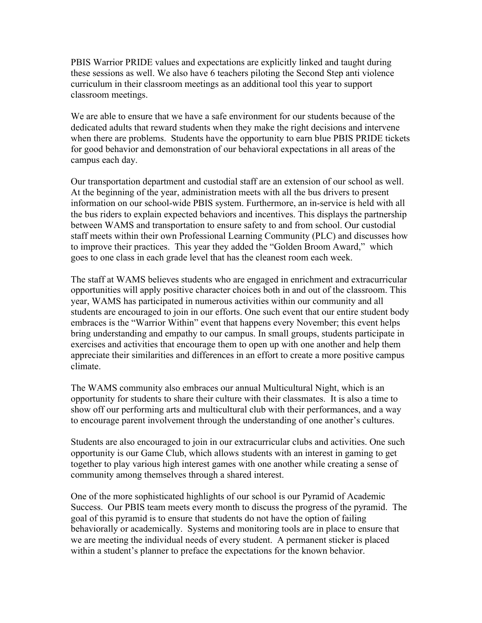PBIS Warrior PRIDE values and expectations are explicitly linked and taught during these sessions as well. We also have 6 teachers piloting the Second Step anti violence curriculum in their classroom meetings as an additional tool this year to support classroom meetings.

We are able to ensure that we have a safe environment for our students because of the dedicated adults that reward students when they make the right decisions and intervene when there are problems. Students have the opportunity to earn blue PBIS PRIDE tickets for good behavior and demonstration of our behavioral expectations in all areas of the campus each day.

Our transportation department and custodial staff are an extension of our school as well. At the beginning of the year, administration meets with all the bus drivers to present information on our school-wide PBIS system. Furthermore, an in-service is held with all the bus riders to explain expected behaviors and incentives. This displays the partnership between WAMS and transportation to ensure safety to and from school. Our custodial staff meets within their own Professional Learning Community (PLC) and discusses how to improve their practices. This year they added the "Golden Broom Award," which goes to one class in each grade level that has the cleanest room each week.

The staff at WAMS believes students who are engaged in enrichment and extracurricular opportunities will apply positive character choices both in and out of the classroom. This year, WAMS has participated in numerous activities within our community and all students are encouraged to join in our efforts. One such event that our entire student body embraces is the "Warrior Within" event that happens every November; this event helps bring understanding and empathy to our campus. In small groups, students participate in exercises and activities that encourage them to open up with one another and help them appreciate their similarities and differences in an effort to create a more positive campus climate.

The WAMS community also embraces our annual Multicultural Night, which is an opportunity for students to share their culture with their classmates. It is also a time to show off our performing arts and multicultural club with their performances, and a way to encourage parent involvement through the understanding of one another's cultures.

Students are also encouraged to join in our extracurricular clubs and activities. One such opportunity is our Game Club, which allows students with an interest in gaming to get together to play various high interest games with one another while creating a sense of community among themselves through a shared interest.

One of the more sophisticated highlights of our school is our Pyramid of Academic Success. Our PBIS team meets every month to discuss the progress of the pyramid. The goal of this pyramid is to ensure that students do not have the option of failing behaviorally or academically. Systems and monitoring tools are in place to ensure that we are meeting the individual needs of every student. A permanent sticker is placed within a student's planner to preface the expectations for the known behavior.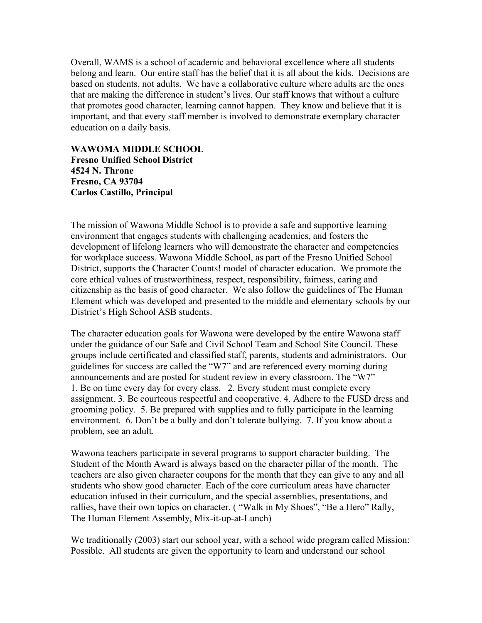Overall, WAMS is a school of academic and behavioral excellence where all students belong and learn. Our entire staff has the belief that it is all about the kids. Decisions are based on students, not adults. We have a collaborative culture where adults are the ones that are making the difference in student's lives. Our staff knows that without a culture that promotes good character, learning cannot happen. They know and believe that it is important, and that every staff member is involved to demonstrate exemplary character education on a daily basis.

**WAWOMA MIDDLE SCHOOL Fresno Unified School District 4524 N. Throne Fresno, CA 93704 Carlos Castillo, Principal** 

The mission of Wawona Middle School is to provide a safe and supportive learning environment that engages students with challenging academics, and fosters the development of lifelong learners who will demonstrate the character and competencies for workplace success. Wawona Middle School, as part of the Fresno Unified School District, supports the Character Counts! model of character education. We promote the core ethical values of trustworthiness, respect, responsibility, fairness, caring and citizenship as the basis of good character. We also follow the guidelines of The Human Element which was developed and presented to the middle and elementary schools by our District's High School ASB students.

The character education goals for Wawona were developed by the entire Wawona staff under the guidance of our Safe and Civil School Team and School Site Council. These groups include certificated and classified staff, parents, students and administrators. Our guidelines for success are called the "W7" and are referenced every morning during announcements and are posted for student review in every classroom. The "W7" 1. Be on time every day for every class. 2. Every student must complete every assignment. 3. Be courteous respectful and cooperative. 4. Adhere to the FUSD dress and grooming policy. 5. Be prepared with supplies and to fully participate in the learning environment. 6. Don't be a bully and don't tolerate bullying. 7. If you know about a problem, see an adult.

Wawona teachers participate in several programs to support character building. The Student of the Month Award is always based on the character pillar of the month. The teachers are also given character coupons for the month that they can give to any and all students who show good character. Each of the core curriculum areas have character education infused in their curriculum, and the special assemblies, presentations, and rallies, have their own topics on character. ( "Walk in My Shoes", "Be a Hero" Rally, The Human Element Assembly, Mix-it-up-at-Lunch)

We traditionally (2003) start our school year, with a school wide program called Mission: Possible. All students are given the opportunity to learn and understand our school